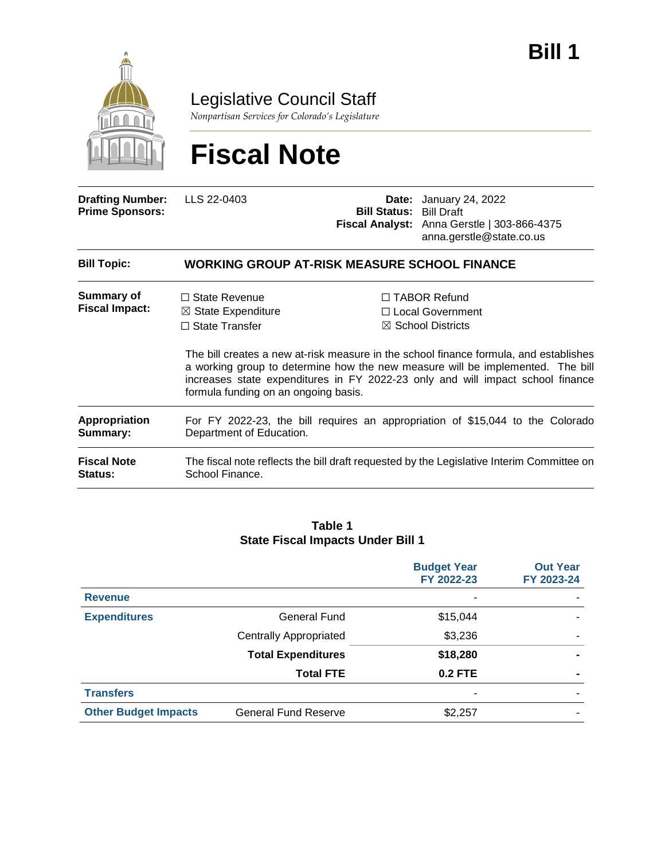

Legislative Council Staff

*Nonpartisan Services for Colorado's Legislature*

# **Fiscal Note**

| <b>Drafting Number:</b><br><b>Prime Sponsors:</b> | LLS 22-0403                                                                                                            | <b>Bill Status: Bill Draft</b> | <b>Date:</b> January 24, 2022<br>Fiscal Analyst: Anna Gerstle   303-866-4375<br>anna.gerstle@state.co.us                                                                                                                                                                                                                               |  |  |  |
|---------------------------------------------------|------------------------------------------------------------------------------------------------------------------------|--------------------------------|----------------------------------------------------------------------------------------------------------------------------------------------------------------------------------------------------------------------------------------------------------------------------------------------------------------------------------------|--|--|--|
| <b>Bill Topic:</b>                                | <b>WORKING GROUP AT-RISK MEASURE SCHOOL FINANCE</b>                                                                    |                                |                                                                                                                                                                                                                                                                                                                                        |  |  |  |
| Summary of<br><b>Fiscal Impact:</b>               | $\Box$ State Revenue<br>$\boxtimes$ State Expenditure<br>$\Box$ State Transfer<br>formula funding on an ongoing basis. |                                | $\Box$ TABOR Refund<br>□ Local Government<br>$\boxtimes$ School Districts<br>The bill creates a new at-risk measure in the school finance formula, and establishes<br>a working group to determine how the new measure will be implemented. The bill<br>increases state expenditures in FY 2022-23 only and will impact school finance |  |  |  |
| Appropriation<br>Summary:                         | For FY 2022-23, the bill requires an appropriation of \$15,044 to the Colorado<br>Department of Education.             |                                |                                                                                                                                                                                                                                                                                                                                        |  |  |  |
| <b>Fiscal Note</b><br>Status:                     | The fiscal note reflects the bill draft requested by the Legislative Interim Committee on<br>School Finance.           |                                |                                                                                                                                                                                                                                                                                                                                        |  |  |  |

#### **Table 1 State Fiscal Impacts Under Bill 1**

|                             |                               | <b>Budget Year</b><br>FY 2022-23 | <b>Out Year</b><br>FY 2023-24 |
|-----------------------------|-------------------------------|----------------------------------|-------------------------------|
| <b>Revenue</b>              |                               | -                                |                               |
| <b>Expenditures</b>         | General Fund                  | \$15,044                         |                               |
|                             | <b>Centrally Appropriated</b> | \$3,236                          |                               |
|                             | <b>Total Expenditures</b>     | \$18,280                         |                               |
|                             | <b>Total FTE</b>              | <b>0.2 FTE</b>                   |                               |
| <b>Transfers</b>            |                               | ٠                                |                               |
| <b>Other Budget Impacts</b> | <b>General Fund Reserve</b>   | \$2,257                          |                               |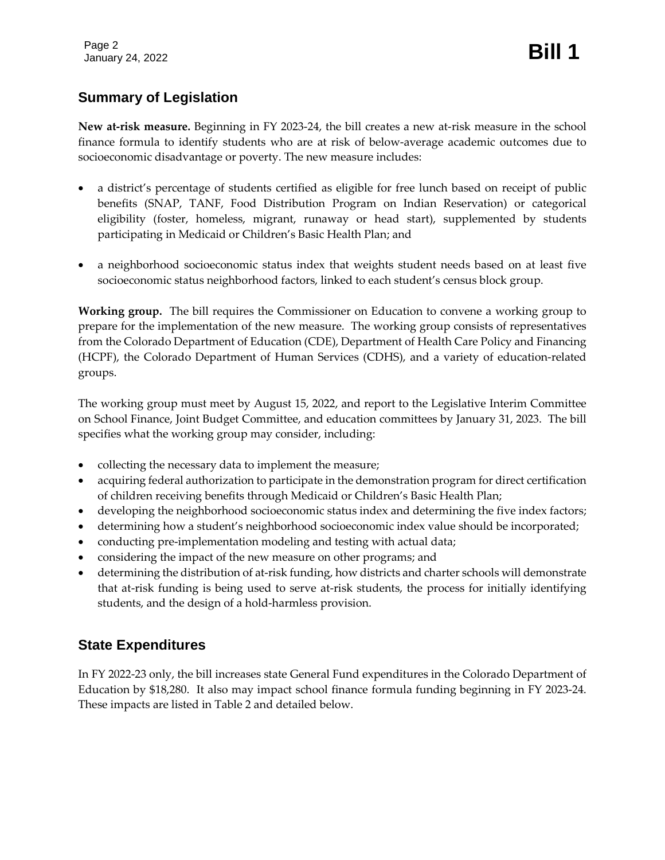Page 2 Page 2<br>January 24, 2022 **Bill 1** 

# **Summary of Legislation**

**New at-risk measure.** Beginning in FY 2023-24, the bill creates a new at-risk measure in the school finance formula to identify students who are at risk of below-average academic outcomes due to socioeconomic disadvantage or poverty. The new measure includes:

- a district's percentage of students certified as eligible for free lunch based on receipt of public benefits (SNAP, TANF, Food Distribution Program on Indian Reservation) or categorical eligibility (foster, homeless, migrant, runaway or head start), supplemented by students participating in Medicaid or Children's Basic Health Plan; and
- a neighborhood socioeconomic status index that weights student needs based on at least five socioeconomic status neighborhood factors, linked to each student's census block group.

**Working group.** The bill requires the Commissioner on Education to convene a working group to prepare for the implementation of the new measure. The working group consists of representatives from the Colorado Department of Education (CDE), Department of Health Care Policy and Financing (HCPF), the Colorado Department of Human Services (CDHS), and a variety of education-related groups.

The working group must meet by August 15, 2022, and report to the Legislative Interim Committee on School Finance, Joint Budget Committee, and education committees by January 31, 2023. The bill specifies what the working group may consider, including:

- collecting the necessary data to implement the measure;
- acquiring federal authorization to participate in the demonstration program for direct certification of children receiving benefits through Medicaid or Children's Basic Health Plan;
- developing the neighborhood socioeconomic status index and determining the five index factors;
- determining how a student's neighborhood socioeconomic index value should be incorporated;
- conducting pre-implementation modeling and testing with actual data;
- considering the impact of the new measure on other programs; and
- determining the distribution of at-risk funding, how districts and charter schools will demonstrate that at-risk funding is being used to serve at-risk students, the process for initially identifying students, and the design of a hold-harmless provision.

## **State Expenditures**

In FY 2022-23 only, the bill increases state General Fund expenditures in the Colorado Department of Education by \$18,280. It also may impact school finance formula funding beginning in FY 2023-24. These impacts are listed in Table 2 and detailed below.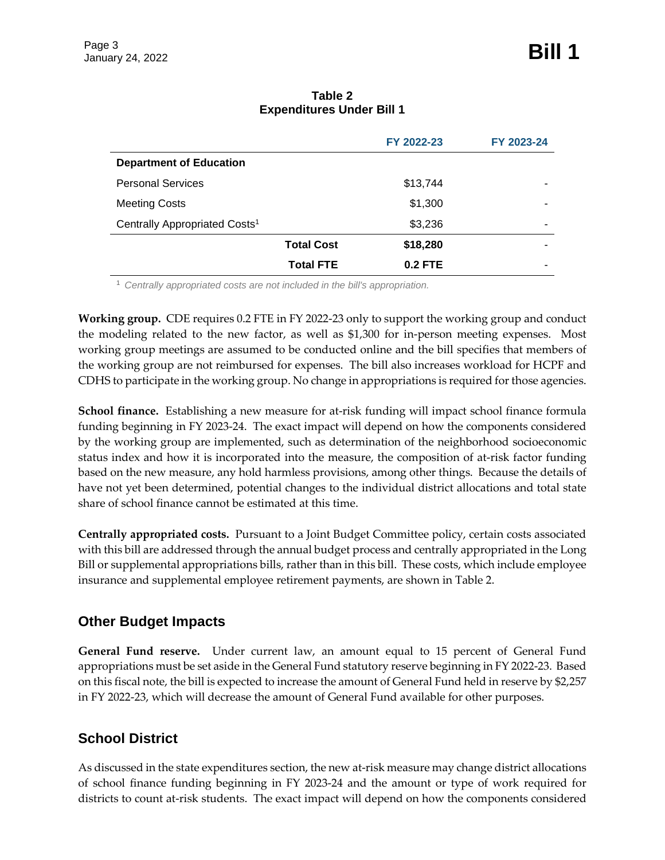|                                           | <b>Total FTE</b>  | $0.2$ FTE  |            |
|-------------------------------------------|-------------------|------------|------------|
|                                           | <b>Total Cost</b> | \$18,280   |            |
| Centrally Appropriated Costs <sup>1</sup> |                   | \$3,236    |            |
| <b>Meeting Costs</b>                      |                   | \$1,300    |            |
| <b>Personal Services</b>                  |                   | \$13,744   |            |
| <b>Department of Education</b>            |                   |            |            |
|                                           |                   | FY 2022-23 | FY 2023-24 |
|                                           |                   |            |            |

#### **Table 2 Expenditures Under Bill 1**

<sup>1</sup> *Centrally appropriated costs are not included in the bill's appropriation.*

**Working group.** CDE requires 0.2 FTE in FY 2022-23 only to support the working group and conduct the modeling related to the new factor, as well as \$1,300 for in-person meeting expenses. Most working group meetings are assumed to be conducted online and the bill specifies that members of the working group are not reimbursed for expenses. The bill also increases workload for HCPF and CDHS to participate in the working group. No change in appropriations is required for those agencies.

**School finance.** Establishing a new measure for at-risk funding will impact school finance formula funding beginning in FY 2023-24. The exact impact will depend on how the components considered by the working group are implemented, such as determination of the neighborhood socioeconomic status index and how it is incorporated into the measure, the composition of at-risk factor funding based on the new measure, any hold harmless provisions, among other things. Because the details of have not yet been determined, potential changes to the individual district allocations and total state share of school finance cannot be estimated at this time.

**Centrally appropriated costs.** Pursuant to a Joint Budget Committee policy, certain costs associated with this bill are addressed through the annual budget process and centrally appropriated in the Long Bill or supplemental appropriations bills, rather than in this bill. These costs, which include employee insurance and supplemental employee retirement payments, are shown in Table 2.

## **Other Budget Impacts**

**General Fund reserve.** Under current law, an amount equal to 15 percent of General Fund appropriations must be set aside in the General Fund statutory reserve beginning in FY 2022-23. Based on this fiscal note, the bill is expected to increase the amount of General Fund held in reserve by \$2,257 in FY 2022-23, which will decrease the amount of General Fund available for other purposes.

## **School District**

As discussed in the state expenditures section, the new at-risk measure may change district allocations of school finance funding beginning in FY 2023-24 and the amount or type of work required for districts to count at-risk students. The exact impact will depend on how the components considered